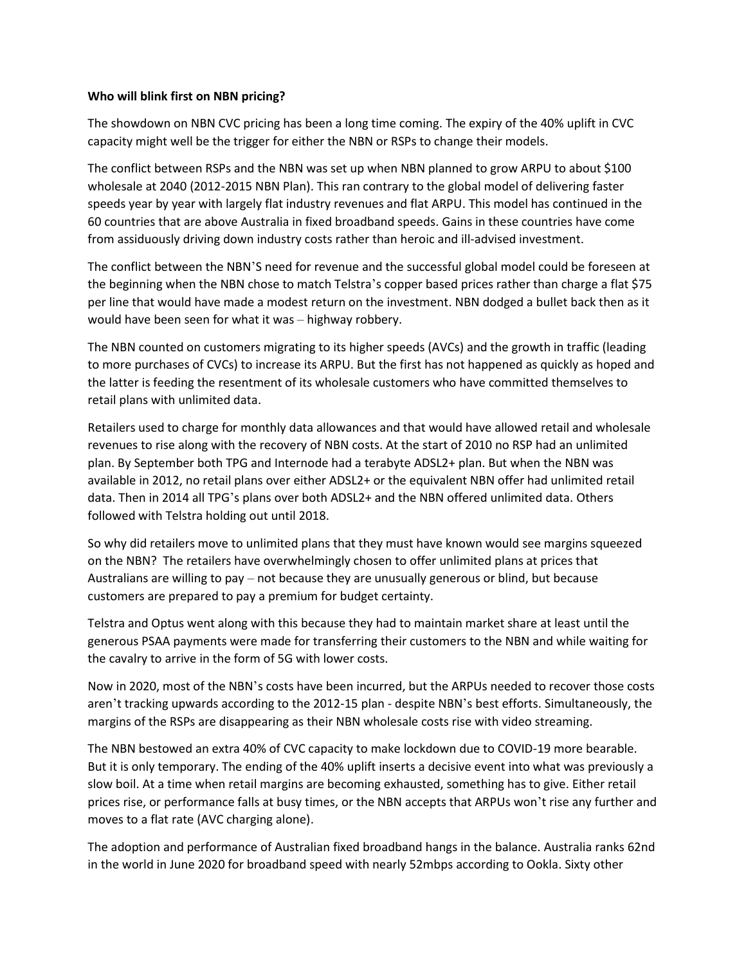## **Who will blink first on NBN pricing?**

The showdown on NBN CVC pricing has been a long time coming. The expiry of the 40% uplift in CVC capacity might well be the trigger for either the NBN or RSPs to change their models.

The conflict between RSPs and the NBN was set up when NBN planned to grow ARPU to about \$100 wholesale at 2040 (2012-2015 NBN Plan). This ran contrary to the global model of delivering faster speeds year by year with largely flat industry revenues and flat ARPU. This model has continued in the 60 countries that are above Australia in fixed broadband speeds. Gains in these countries have come from assiduously driving down industry costs rather than heroic and ill-advised investment.

The conflict between the NBN'S need for revenue and the successful global model could be foreseen at the beginning when the NBN chose to match Telstra's copper based prices rather than charge a flat \$75 per line that would have made a modest return on the investment. NBN dodged a bullet back then as it would have been seen for what it was – highway robbery.

The NBN counted on customers migrating to its higher speeds (AVCs) and the growth in traffic (leading to more purchases of CVCs) to increase its ARPU. But the first has not happened as quickly as hoped and the latter is feeding the resentment of its wholesale customers who have committed themselves to retail plans with unlimited data.

Retailers used to charge for monthly data allowances and that would have allowed retail and wholesale revenues to rise along with the recovery of NBN costs. At the start of 2010 no RSP had an unlimited plan. By September both TPG and Internode had a terabyte ADSL2+ plan. But when the NBN was available in 2012, no retail plans over either ADSL2+ or the equivalent NBN offer had unlimited retail data. Then in 2014 all TPG's plans over both ADSL2+ and the NBN offered unlimited data. Others followed with Telstra holding out until 2018.

So why did retailers move to unlimited plans that they must have known would see margins squeezed on the NBN? The retailers have overwhelmingly chosen to offer unlimited plans at prices that Australians are willing to pay – not because they are unusually generous or blind, but because customers are prepared to pay a premium for budget certainty.

Telstra and Optus went along with this because they had to maintain market share at least until the generous PSAA payments were made for transferring their customers to the NBN and while waiting for the cavalry to arrive in the form of 5G with lower costs.

Now in 2020, most of the NBN's costs have been incurred, but the ARPUs needed to recover those costs aren't tracking upwards according to the 2012-15 plan - despite NBN's best efforts. Simultaneously, the margins of the RSPs are disappearing as their NBN wholesale costs rise with video streaming.

The NBN bestowed an extra 40% of CVC capacity to make lockdown due to COVID-19 more bearable. But it is only temporary. The ending of the 40% uplift inserts a decisive event into what was previously a slow boil. At a time when retail margins are becoming exhausted, something has to give. Either retail prices rise, or performance falls at busy times, or the NBN accepts that ARPUs won't rise any further and moves to a flat rate (AVC charging alone).

The adoption and performance of Australian fixed broadband hangs in the balance. Australia ranks 62nd in the world in June 2020 for broadband speed with nearly 52mbps according to Ookla. Sixty other